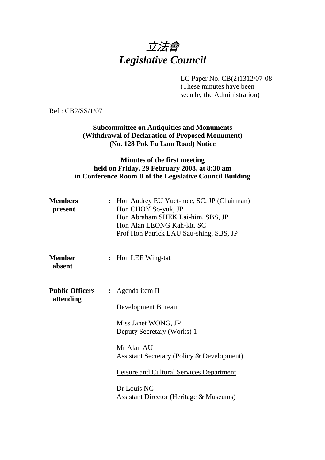# 立法會 *Legislative Council*

LC Paper No. CB(2)1312/07-08

(These minutes have been seen by the Administration)

Ref : CB2/SS/1/07

## **Subcommittee on Antiquities and Monuments (Withdrawal of Declaration of Proposed Monument) (No. 128 Pok Fu Lam Road) Notice**

## **Minutes of the first meeting held on Friday, 29 February 2008, at 8:30 am in Conference Room B of the Legislative Council Building**

| <b>Members</b><br>present           | Hon Audrey EU Yuet-mee, SC, JP (Chairman)<br>$\ddot{\cdot}$<br>Hon CHOY So-yuk, JP<br>Hon Abraham SHEK Lai-him, SBS, JP<br>Hon Alan LEONG Kah-kit, SC<br>Prof Hon Patrick LAU Sau-shing, SBS, JP |  |
|-------------------------------------|--------------------------------------------------------------------------------------------------------------------------------------------------------------------------------------------------|--|
| <b>Member</b><br>absent             | : Hon LEE Wing-tat                                                                                                                                                                               |  |
| <b>Public Officers</b><br>attending | Agenda item II<br>$\ddot{\cdot}$<br><b>Development Bureau</b><br>Miss Janet WONG, JP<br>Deputy Secretary (Works) 1<br>Mr Alan AU<br>Assistant Secretary (Policy & Development)                   |  |
|                                     | <b>Leisure and Cultural Services Department</b><br>Dr Louis NG<br>Assistant Director (Heritage & Museums)                                                                                        |  |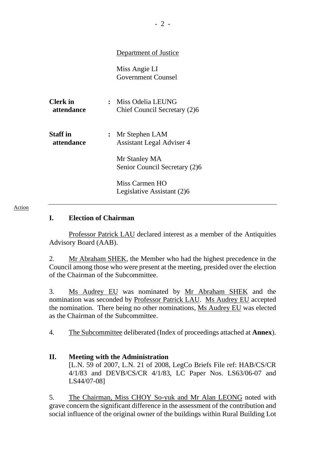## Department of Justice

Miss Angie LI Government Counsel

| <b>Clerk</b> in<br>attendance | Miss Odelia LEUNG<br>Chief Council Secretary (2)6    |
|-------------------------------|------------------------------------------------------|
| <b>Staff</b> in<br>attendance | : Mr Stephen LAM<br><b>Assistant Legal Adviser 4</b> |
|                               | Mr Stanley MA<br>Senior Council Secretary (2)6       |
|                               | Miss Carmen HO<br>Legislative Assistant (2)6         |

#### Action

#### **I. Election of Chairman**

Professor Patrick LAU declared interest as a member of the Antiquities Advisory Board (AAB).

2. Mr Abraham SHEK, the Member who had the highest precedence in the Council among those who were present at the meeting, presided over the election of the Chairman of the Subcommittee.

3. Ms Audrey EU was nominated by Mr Abraham SHEK and the nomination was seconded by Professor Patrick LAU. Ms Audrey EU accepted the nomination. There being no other nominations, Ms Audrey EU was elected as the Chairman of the Subcommittee.

4. The Subcommittee deliberated (Index of proceedings attached at **Annex**).

## **II. Meeting with the Administration**  [L.N. 59 of 2007, L.N. 21 of 2008, LegCo Briefs File ref: HAB/CS/CR 4/1/83 and DEVB/CS/CR 4/1/83, LC Paper Nos. LS63/06-07 and LS44/07-08]

5. The Chairman, Miss CHOY So-yuk and Mr Alan LEONG noted with grave concern the significant difference in the assessment of the contribution and social influence of the original owner of the buildings within Rural Building Lot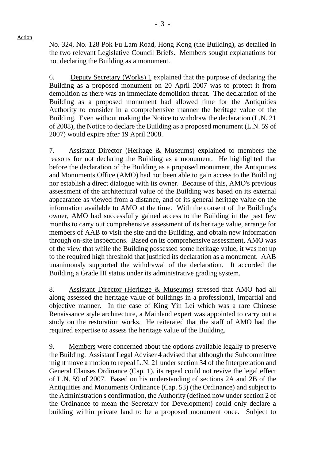No. 324, No. 128 Pok Fu Lam Road, Hong Kong (the Building), as detailed in the two relevant Legislative Council Briefs. Members sought explanations for not declaring the Building as a monument.

6. Deputy Secretary (Works) 1 explained that the purpose of declaring the Building as a proposed monument on 20 April 2007 was to protect it from demolition as there was an immediate demolition threat. The declaration of the Building as a proposed monument had allowed time for the Antiquities Authority to consider in a comprehensive manner the heritage value of the Building. Even without making the Notice to withdraw the declaration (L.N. 21 of 2008), the Notice to declare the Building as a proposed monument (L.N. 59 of 2007) would expire after 19 April 2008.

7. Assistant Director (Heritage & Museums) explained to members the reasons for not declaring the Building as a monument. He highlighted that before the declaration of the Building as a proposed monument, the Antiquities and Monuments Office (AMO) had not been able to gain access to the Building nor establish a direct dialogue with its owner. Because of this, AMO's previous assessment of the architectural value of the Building was based on its external appearance as viewed from a distance, and of its general heritage value on the information available to AMO at the time. With the consent of the Building's owner, AMO had successfully gained access to the Building in the past few months to carry out comprehensive assessment of its heritage value, arrange for members of AAB to visit the site and the Building, and obtain new information through on-site inspections. Based on its comprehensive assessment, AMO was of the view that while the Building possessed some heritage value, it was not up to the required high threshold that justified its declaration as a monument. AAB unanimously supported the withdrawal of the declaration. It accorded the Building a Grade III status under its administrative grading system.

8. Assistant Director (Heritage & Museums) stressed that AMO had all along assessed the heritage value of buildings in a professional, impartial and objective manner. In the case of King Yin Lei which was a rare Chinese Renaissance style architecture, a Mainland expert was appointed to carry out a study on the restoration works. He reiterated that the staff of AMO had the required expertise to assess the heritage value of the Building.

9. Members were concerned about the options available legally to preserve the Building. Assistant Legal Adviser 4 advised that although the Subcommittee might move a motion to repeal L.N. 21 under section 34 of the Interpretation and General Clauses Ordinance (Cap. 1), its repeal could not revive the legal effect of L.N. 59 of 2007. Based on his understanding of sections 2A and 2B of the Antiquities and Monuments Ordinance (Cap. 53) (the Ordinance) and subject to the Administration's confirmation, the Authority (defined now under section 2 of the Ordinance to mean the Secretary for Development) could only declare a building within private land to be a proposed monument once. Subject to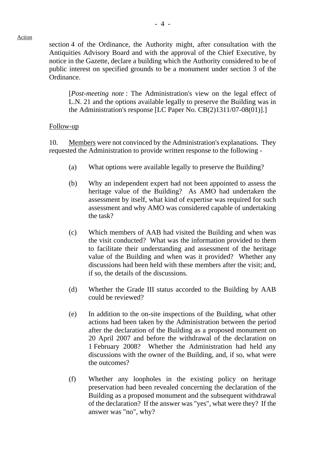section 4 of the Ordinance, the Authority might, after consultation with the Antiquities Advisory Board and with the approval of the Chief Executive, by notice in the Gazette, declare a building which the Authority considered to be of public interest on specified grounds to be a monument under section 3 of the Ordinance.

[*Post-meeting note* : The Administration's view on the legal effect of L.N. 21 and the options available legally to preserve the Building was in the Administration's response [LC Paper No. CB(2)1311/07-08(01)].]

#### Follow-up

10. Members were not convinced by the Administration's explanations. They requested the Administration to provide written response to the following -

- (a) What options were available legally to preserve the Building?
- (b) Why an independent expert had not been appointed to assess the heritage value of the Building? As AMO had undertaken the assessment by itself, what kind of expertise was required for such assessment and why AMO was considered capable of undertaking the task?
- (c) Which members of AAB had visited the Building and when was the visit conducted? What was the information provided to them to facilitate their understanding and assessment of the heritage value of the Building and when was it provided? Whether any discussions had been held with these members after the visit; and, if so, the details of the discussions.
- (d) Whether the Grade III status accorded to the Building by AAB could be reviewed?
- (e) In addition to the on-site inspections of the Building, what other actions had been taken by the Administration between the period after the declaration of the Building as a proposed monument on 20 April 2007 and before the withdrawal of the declaration on 1 February 2008? Whether the Administration had held any discussions with the owner of the Building, and, if so, what were the outcomes?
- (f) Whether any loopholes in the existing policy on heritage preservation had been revealed concerning the declaration of the Building as a proposed monument and the subsequent withdrawal of the declaration? If the answer was "yes", what were they? If the answer was "no", why?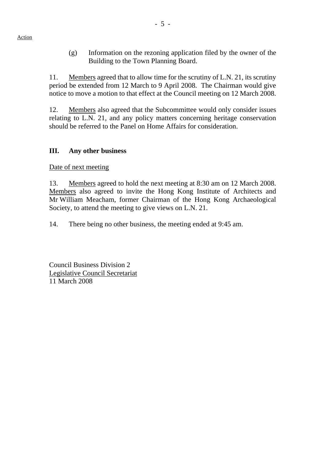(g) Information on the rezoning application filed by the owner of the Building to the Town Planning Board.

11. Members agreed that to allow time for the scrutiny of L.N. 21, its scrutiny period be extended from 12 March to 9 April 2008. The Chairman would give notice to move a motion to that effect at the Council meeting on 12 March 2008.

12. Members also agreed that the Subcommittee would only consider issues relating to L.N. 21, and any policy matters concerning heritage conservation should be referred to the Panel on Home Affairs for consideration.

## **III. Any other business**

Date of next meeting

13. Members agreed to hold the next meeting at 8:30 am on 12 March 2008. Members also agreed to invite the Hong Kong Institute of Architects and Mr William Meacham, former Chairman of the Hong Kong Archaeological Society, to attend the meeting to give views on L.N. 21.

14. There being no other business, the meeting ended at 9:45 am.

Council Business Division 2 Legislative Council Secretariat 11 March 2008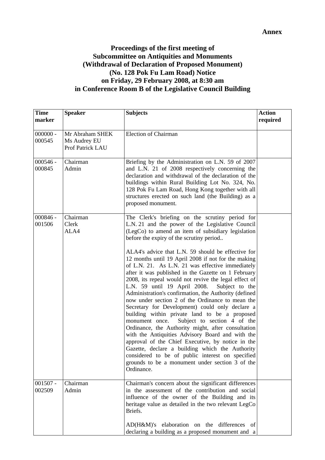## **Proceedings of the first meeting of Subcommittee on Antiquities and Monuments (Withdrawal of Declaration of Proposed Monument) (No. 128 Pok Fu Lam Road) Notice on Friday, 29 February 2008, at 8:30 am in Conference Room B of the Legislative Council Building**

| <b>Time</b><br>marker | <b>Speaker</b>                                      | <b>Subjects</b>                                                                                                                                                                                                                                                                                                                                                                                                                                                                                                                                                                                                                                                                                                                                                                                                                                                                                                                          | <b>Action</b><br>required |
|-----------------------|-----------------------------------------------------|------------------------------------------------------------------------------------------------------------------------------------------------------------------------------------------------------------------------------------------------------------------------------------------------------------------------------------------------------------------------------------------------------------------------------------------------------------------------------------------------------------------------------------------------------------------------------------------------------------------------------------------------------------------------------------------------------------------------------------------------------------------------------------------------------------------------------------------------------------------------------------------------------------------------------------------|---------------------------|
| $000000 -$<br>000545  | Mr Abraham SHEK<br>Ms Audrey EU<br>Prof Patrick LAU | <b>Election of Chairman</b>                                                                                                                                                                                                                                                                                                                                                                                                                                                                                                                                                                                                                                                                                                                                                                                                                                                                                                              |                           |
| $000546 -$<br>000845  | Chairman<br>Admin                                   | Briefing by the Administration on L.N. 59 of 2007<br>and L.N. 21 of 2008 respectively concerning the<br>declaration and withdrawal of the declaration of the<br>buildings within Rural Building Lot No. 324, No.<br>128 Pok Fu Lam Road, Hong Kong together with all<br>structures erected on such land (the Building) as a<br>proposed monument.                                                                                                                                                                                                                                                                                                                                                                                                                                                                                                                                                                                        |                           |
| $000846 -$<br>001506  | Chairman<br>Clerk<br>ALA4                           | The Clerk's briefing on the scrutiny period for<br>L.N. 21 and the power of the Legislative Council<br>(LegCo) to amend an item of subsidiary legislation<br>before the expiry of the scrutiny period                                                                                                                                                                                                                                                                                                                                                                                                                                                                                                                                                                                                                                                                                                                                    |                           |
|                       |                                                     | ALA4's advice that L.N. 59 should be effective for<br>12 months until 19 April 2008 if not for the making<br>of L.N. 21. As L.N. 21 was effective immediately<br>after it was published in the Gazette on 1 February<br>2008, its repeal would not revive the legal effect of<br>L.N. 59 until 19 April 2008.<br>Subject to the<br>Administration's confirmation, the Authority (defined<br>now under section 2 of the Ordinance to mean the<br>Secretary for Development) could only declare a<br>building within private land to be a proposed<br>Subject to section 4 of the<br>monument once.<br>Ordinance, the Authority might, after consultation<br>with the Antiquities Advisory Board and with the<br>approval of the Chief Executive, by notice in the<br>Gazette, declare a building which the Authority<br>considered to be of public interest on specified<br>grounds to be a monument under section 3 of the<br>Ordinance. |                           |
| $001507 -$<br>002509  | Chairman<br>Admin                                   | Chairman's concern about the significant differences<br>in the assessment of the contribution and social<br>influence of the owner of the Building and its<br>heritage value as detailed in the two relevant LegCo<br>Briefs.                                                                                                                                                                                                                                                                                                                                                                                                                                                                                                                                                                                                                                                                                                            |                           |
|                       |                                                     | AD(H&M)'s elaboration on the differences of<br>declaring a building as a proposed monument and a                                                                                                                                                                                                                                                                                                                                                                                                                                                                                                                                                                                                                                                                                                                                                                                                                                         |                           |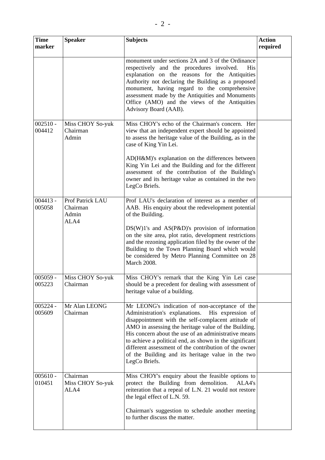| <b>Time</b><br>marker | <b>Speaker</b>                                | <b>Subjects</b>                                                                                                                                                                                                                                                                                                                                                                                                                                                        | <b>Action</b><br>required |
|-----------------------|-----------------------------------------------|------------------------------------------------------------------------------------------------------------------------------------------------------------------------------------------------------------------------------------------------------------------------------------------------------------------------------------------------------------------------------------------------------------------------------------------------------------------------|---------------------------|
|                       |                                               | monument under sections 2A and 3 of the Ordinance<br>respectively and the procedures involved.<br>His<br>explanation on the reasons for the Antiquities<br>Authority not declaring the Building as a proposed<br>monument, having regard to the comprehensive<br>assessment made by the Antiquities and Monuments<br>Office (AMO) and the views of the Antiquities<br>Advisory Board (AAB).                                                                            |                           |
| $002510 -$<br>004412  | Miss CHOY So-yuk<br>Chairman<br>Admin         | Miss CHOY's echo of the Chairman's concern. Her<br>view that an independent expert should be appointed<br>to assess the heritage value of the Building, as in the<br>case of King Yin Lei.                                                                                                                                                                                                                                                                             |                           |
|                       |                                               | AD(H&M)'s explanation on the differences between<br>King Yin Lei and the Building and for the different<br>assessment of the contribution of the Building's<br>owner and its heritage value as contained in the two<br>LegCo Briefs.                                                                                                                                                                                                                                   |                           |
| $004413 -$<br>005058  | Prof Patrick LAU<br>Chairman<br>Admin<br>ALA4 | Prof LAU's declaration of interest as a member of<br>AAB. His enquiry about the redevelopment potential<br>of the Building.<br>$DS(W)1's$ and $AS(P&D)'s$ provision of information<br>on the site area, plot ratio, development restrictions<br>and the rezoning application filed by the owner of the<br>Building to the Town Planning Board which would<br>be considered by Metro Planning Committee on 28<br><b>March 2008.</b>                                     |                           |
| 005059<br>005223      | Miss CHOY So-yuk<br>Chairman                  | Miss CHOY's remark that the King Yin Lei case<br>should be a precedent for dealing with assessment of<br>heritage value of a building.                                                                                                                                                                                                                                                                                                                                 |                           |
| $005224 -$<br>005609  | Mr Alan LEONG<br>Chairman                     | Mr LEONG's indication of non-acceptance of the<br>Administration's explanations.<br>His expression of<br>disappointment with the self-complacent attitude of<br>AMO in assessing the heritage value of the Building.<br>His concern about the use of an administrative means<br>to achieve a political end, as shown in the significant<br>different assessment of the contribution of the owner<br>of the Building and its heritage value in the two<br>LegCo Briefs. |                           |
| $005610 -$<br>010451  | Chairman<br>Miss CHOY So-yuk<br>ALA4          | Miss CHOY's enquiry about the feasible options to<br>protect the Building from demolition.<br>ALA4's<br>reiteration that a repeal of L.N. 21 would not restore<br>the legal effect of L.N. 59.<br>Chairman's suggestion to schedule another meeting<br>to further discuss the matter.                                                                                                                                                                                  |                           |